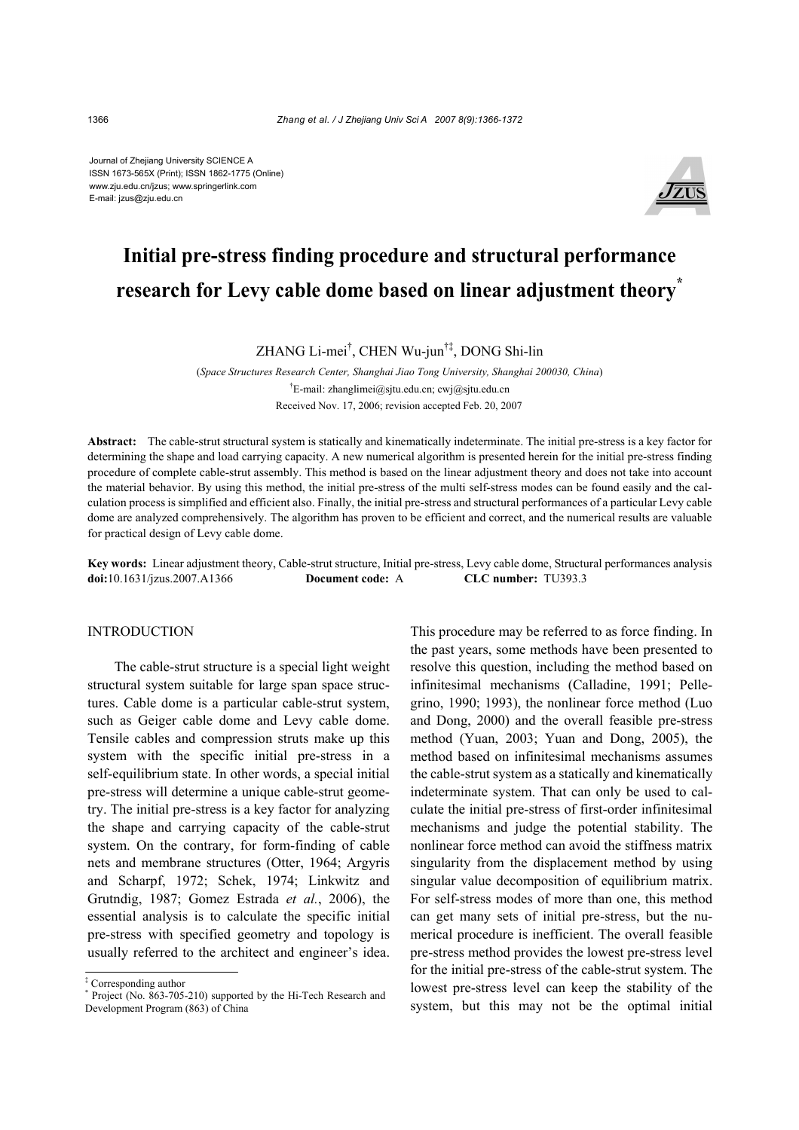Journal of Zhejiang University SCIENCE A ISSN 1673-565X (Print); ISSN 1862-1775 (Online) www.zju.edu.cn/jzus; www.springerlink.com E-mail: jzus@zju.edu.cn



# **Initial pre-stress finding procedure and structural performance research for Levy cable dome based on linear adjustment theory\***

ZHANG Li-mei† , CHEN Wu-jun†‡, DONG Shi-lin

 (*Space Structures Research Center, Shanghai Jiao Tong University, Shanghai 200030, China*) † E-mail: zhanglimei@sjtu.edu.cn; cwj@sjtu.edu.cn Received Nov. 17, 2006; revision accepted Feb. 20, 2007

**Abstract:** The cable-strut structural system is statically and kinematically indeterminate. The initial pre-stress is a key factor for determining the shape and load carrying capacity. A new numerical algorithm is presented herein for the initial pre-stress finding procedure of complete cable-strut assembly. This method is based on the linear adjustment theory and does not take into account the material behavior. By using this method, the initial pre-stress of the multi self-stress modes can be found easily and the calculation process is simplified and efficient also. Finally, the initial pre-stress and structural performances of a particular Levy cable dome are analyzed comprehensively. The algorithm has proven to be efficient and correct, and the numerical results are valuable for practical design of Levy cable dome.

**Key words:** Linear adjustment theory, Cable-strut structure, Initial pre-stress, Levy cable dome, Structural performances analysis **doi:**10.1631/jzus.2007.A1366 **Document code:** A **CLC number:** TU393.3

# INTRODUCTION

The cable-strut structure is a special light weight structural system suitable for large span space structures. Cable dome is a particular cable-strut system, such as Geiger cable dome and Levy cable dome. Tensile cables and compression struts make up this system with the specific initial pre-stress in a self-equilibrium state. In other words, a special initial pre-stress will determine a unique cable-strut geometry. The initial pre-stress is a key factor for analyzing the shape and carrying capacity of the cable-strut system. On the contrary, for form-finding of cable nets and membrane structures (Otter, 1964; Argyris and Scharpf, 1972; Schek, 1974; Linkwitz and Grutndig, 1987; Gomez Estrada *et al.*, 2006), the essential analysis is to calculate the specific initial pre-stress with specified geometry and topology is usually referred to the architect and engineer's idea.

This procedure may be referred to as force finding. In the past years, some methods have been presented to resolve this question, including the method based on infinitesimal mechanisms (Calladine, 1991; Pellegrino, 1990; 1993), the nonlinear force method (Luo and Dong, 2000) and the overall feasible pre-stress method (Yuan, 2003; Yuan and Dong, 2005), the method based on infinitesimal mechanisms assumes the cable-strut system as a statically and kinematically indeterminate system. That can only be used to calculate the initial pre-stress of first-order infinitesimal mechanisms and judge the potential stability. The nonlinear force method can avoid the stiffness matrix singularity from the displacement method by using singular value decomposition of equilibrium matrix. For self-stress modes of more than one, this method can get many sets of initial pre-stress, but the numerical procedure is inefficient. The overall feasible pre-stress method provides the lowest pre-stress level for the initial pre-stress of the cable-strut system. The lowest pre-stress level can keep the stability of the system, but this may not be the optimal initial

<sup>‡</sup> Corresponding author

<sup>\*</sup> Project (No. 863-705-210) supported by the Hi-Tech Research and Development Program (863) of China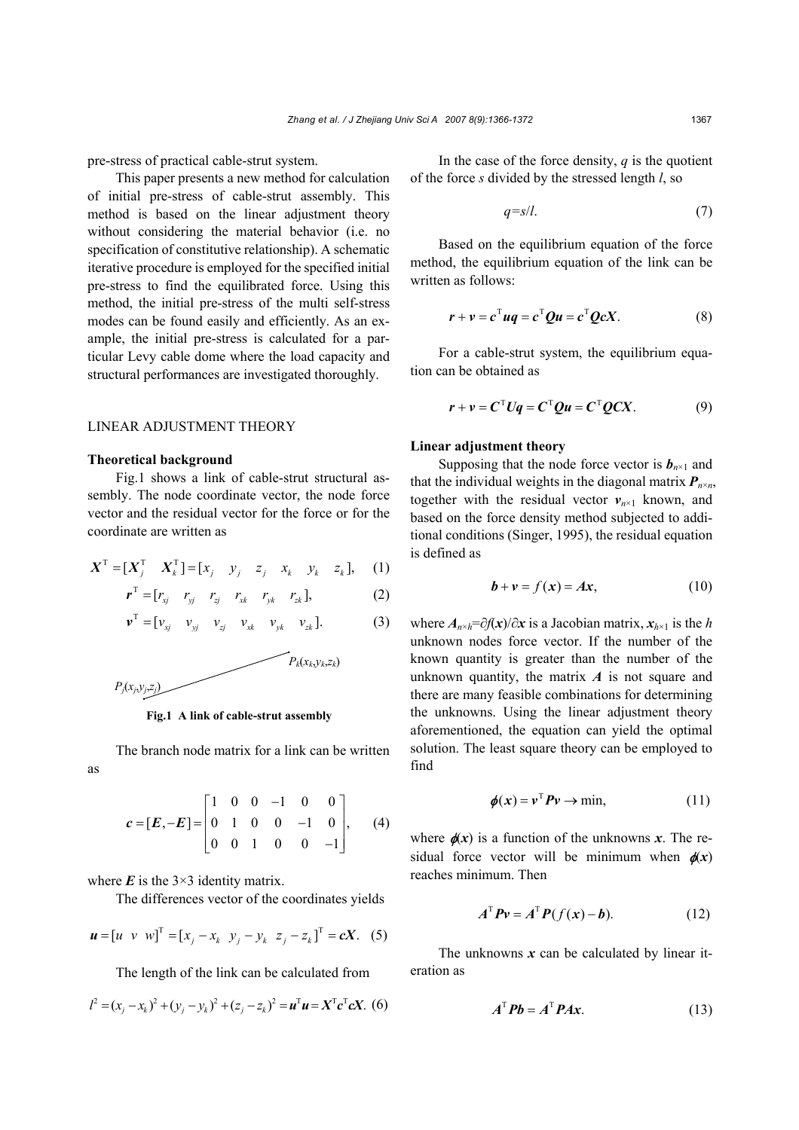pre-stress of practical cable-strut system.

This paper presents a new method for calculation of initial pre-stress of cable-strut assembly. This method is based on the linear adjustment theory without considering the material behavior (i.e. no specification of constitutive relationship). A schematic iterative procedure is employed for the specified initial pre-stress to find the equilibrated force. Using this method, the initial pre-stress of the multi self-stress modes can be found easily and efficiently. As an example, the initial pre-stress is calculated for a particular Levy cable dome where the load capacity and structural performances are investigated thoroughly.

## LINEAR ADJUSTMENT THEORY

#### **Theoretical background**

Fig.1 shows a link of cable-strut structural assembly. The node coordinate vector, the node force vector and the residual vector for the force or for the coordinate are written as

$$
\boldsymbol{X}^{\mathrm{T}} = [\boldsymbol{X}_j^{\mathrm{T}} \quad \boldsymbol{X}_k^{\mathrm{T}}] = [\boldsymbol{x}_j \quad \boldsymbol{y}_j \quad \boldsymbol{z}_j \quad \boldsymbol{x}_k \quad \boldsymbol{y}_k \quad \boldsymbol{z}_k], \quad (1)
$$

$$
\boldsymbol{r}^{\mathrm{T}} = [r_{xj} \quad r_{yj} \quad r_{zj} \quad r_{xk} \quad r_{yk} \quad r_{zk}], \tag{2}
$$

$$
\mathbf{v}^{\mathrm{T}} = [\mathbf{v}_{xj} \quad \mathbf{v}_{yj} \quad \mathbf{v}_{zj} \quad \mathbf{v}_{xk} \quad \mathbf{v}_{yk} \quad \mathbf{v}_{zk}]. \tag{3}
$$





The branch node matrix for a link can be written as

$$
\boldsymbol{c} = [\boldsymbol{E}, -\boldsymbol{E}] = \begin{bmatrix} 1 & 0 & 0 & -1 & 0 & 0 \\ 0 & 1 & 0 & 0 & -1 & 0 \\ 0 & 0 & 1 & 0 & 0 & -1 \end{bmatrix}, \qquad (4)
$$

where  $\vec{E}$  is the 3×3 identity matrix.

The differences vector of the coordinates yields

$$
\mathbf{u} = [u \ \ v \ \ w]^{\mathrm{T}} = [x_j - x_k \ \ y_j - y_k \ \ z_j - z_k]^{\mathrm{T}} = cX. \tag{5}
$$

The length of the link can be calculated from

$$
l^{2} = (x_{j} - x_{k})^{2} + (y_{j} - y_{k})^{2} + (z_{j} - z_{k})^{2} = \mathbf{u}^{\mathrm{T}} \mathbf{u} = \mathbf{X}^{\mathrm{T}} \mathbf{c}^{\mathrm{T}} \mathbf{c} \mathbf{X}.
$$
 (6)

In the case of the force density,  $q$  is the quotient of the force *s* divided by the stressed length *l*, so

$$
q = s/l. \tag{7}
$$

Based on the equilibrium equation of the force method, the equilibrium equation of the link can be written as follows:

$$
\mathbf{r} + \mathbf{v} = \mathbf{c}^{\mathrm{T}} \mathbf{u} \mathbf{q} = \mathbf{c}^{\mathrm{T}} \mathbf{Q} \mathbf{u} = \mathbf{c}^{\mathrm{T}} \mathbf{Q} \mathbf{c} \mathbf{X}.
$$
 (8)

For a cable-strut system, the equilibrium equation can be obtained as

$$
\mathbf{r} + \mathbf{v} = \mathbf{C}^{\mathrm{T}} \mathbf{U} \mathbf{q} = \mathbf{C}^{\mathrm{T}} \mathbf{Q} \mathbf{u} = \mathbf{C}^{\mathrm{T}} \mathbf{Q} \mathbf{C} \mathbf{X}.
$$
 (9)

## **Linear adjustment theory**

Supposing that the node force vector is  $b_{n\times 1}$  and that the individual weights in the diagonal matrix  $P_{n \times n}$ , together with the residual vector  $v_{n \times 1}$  known, and based on the force density method subjected to additional conditions (Singer, 1995), the residual equation is defined as

$$
\mathbf{b} + \mathbf{v} = f(\mathbf{x}) = A\mathbf{x},\tag{10}
$$

where  $A_{n \times h} = \partial f(x)/\partial x$  is a Jacobian matrix,  $x_{h \times 1}$  is the *h* unknown nodes force vector. If the number of the known quantity is greater than the number of the unknown quantity, the matrix *A* is not square and there are many feasible combinations for determining the unknowns. Using the linear adjustment theory aforementioned, the equation can yield the optimal solution. The least square theory can be employed to find

$$
\phi(x) = v^{\mathrm{T}} P v \to \min, \tag{11}
$$

where  $\phi(x)$  is a function of the unknowns *x*. The residual force vector will be minimum when  $\phi(x)$ reaches minimum. Then

$$
A^{\mathrm{T}}Pv = A^{\mathrm{T}}P(f(x)-b). \tag{12}
$$

The unknowns  $x$  can be calculated by linear iteration as

$$
A^{\mathrm{T}}Pb = A^{\mathrm{T}}PAx.
$$
 (13)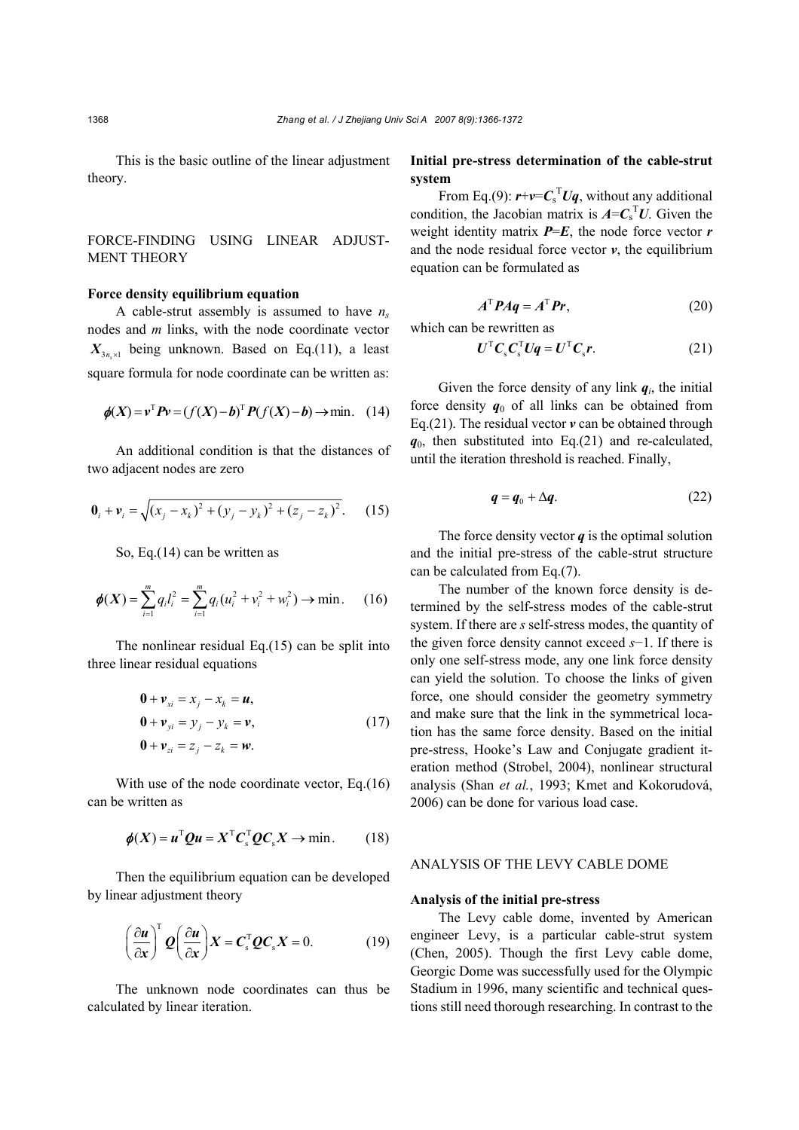This is the basic outline of the linear adjustment theory.

# FORCE-FINDING USING LINEAR ADJUST-MENT THEORY

# **Force density equilibrium equation**

A cable-strut assembly is assumed to have  $n_s$ nodes and *m* links, with the node coordinate vector  $X_{3n \times 1}$  being unknown. Based on Eq.(11), a least square formula for node coordinate can be written as:

$$
\phi(X) = v^{T} P v = (f(X) - b)^{T} P(f(X) - b) \to \min. \quad (14)
$$

An additional condition is that the distances of two adjacent nodes are zero

$$
\mathbf{0}_{i} + \mathbf{v}_{i} = \sqrt{(x_{j} - x_{k})^{2} + (y_{j} - y_{k})^{2} + (z_{j} - z_{k})^{2}}.
$$
 (15)

So, Eq.(14) can be written as

$$
\phi(X) = \sum_{i=1}^{m} q_i l_i^2 = \sum_{i=1}^{m} q_i (u_i^2 + v_i^2 + w_i^2) \to \min. \quad (16)
$$

The nonlinear residual Eq.(15) can be split into three linear residual equations

$$
0 + \nu_{xi} = x_j - x_k = u,
$$
  
\n
$$
0 + \nu_{yi} = y_j - y_k = v,
$$
  
\n
$$
0 + \nu_{zi} = z_j - z_k = w.
$$
\n(17)

With use of the node coordinate vector, Eq.(16) can be written as

$$
\phi(X) = u^{\mathrm{T}}Qu = X^{\mathrm{T}}C_{\mathrm{s}}^{\mathrm{T}}QC_{\mathrm{s}}X \to \min. \qquad (18)
$$

Then the equilibrium equation can be developed by linear adjustment theory

$$
\left(\frac{\partial \boldsymbol{u}}{\partial x}\right)^{\mathrm{T}} \boldsymbol{Q} \left(\frac{\partial \boldsymbol{u}}{\partial x}\right) \boldsymbol{X} = \boldsymbol{C}_{\mathrm{s}}^{\mathrm{T}} \boldsymbol{Q} \boldsymbol{C}_{\mathrm{s}} \boldsymbol{X} = 0. \tag{19}
$$

The unknown node coordinates can thus be calculated by linear iteration.

# **Initial pre-stress determination of the cable-strut system**

From Eq.(9):  $\mathbf{r}$ + $\mathbf{v}$ = $\mathbf{C}_s^T \mathbf{U} \mathbf{q}$ , without any additional condition, the Jacobian matrix is  $A = C_s^\mathsf{T} U$ . Given the weight identity matrix  $P=E$ , the node force vector  $r$ and the node residual force vector  $v$ , the equilibrium equation can be formulated as

$$
A^{\mathrm{T}} P A q = A^{\mathrm{T}} P r,\tag{20}
$$

which can be rewritten as

$$
\boldsymbol{U}^{\mathrm{T}} \boldsymbol{C}_{\mathrm{s}} \boldsymbol{C}_{\mathrm{s}}^{\mathrm{T}} \boldsymbol{U} \boldsymbol{q} = \boldsymbol{U}^{\mathrm{T}} \boldsymbol{C}_{\mathrm{s}} \boldsymbol{r}.
$$
 (21)

Given the force density of any link  $q_i$ , the initial force density  $q_0$  of all links can be obtained from Eq.(21). The residual vector *v* can be obtained through  $q_0$ , then substituted into Eq.(21) and re-calculated, until the iteration threshold is reached. Finally,

$$
q = q_0 + \Delta q. \tag{22}
$$

The force density vector  $q$  is the optimal solution and the initial pre-stress of the cable-strut structure can be calculated from Eq.(7).

The number of the known force density is determined by the self-stress modes of the cable-strut system. If there are *s* self-stress modes, the quantity of the given force density cannot exceed *s*−1. If there is only one self-stress mode, any one link force density can yield the solution. To choose the links of given force, one should consider the geometry symmetry and make sure that the link in the symmetrical location has the same force density. Based on the initial pre-stress, Hooke's Law and Conjugate gradient iteration method (Strobel, 2004), nonlinear structural analysis (Shan *et al.*, 1993; Kmet and Kokorudová, 2006) can be done for various load case.

# ANALYSIS OF THE LEVY CABLE DOME

#### **Analysis of the initial pre-stress**

The Levy cable dome, invented by American engineer Levy, is a particular cable-strut system (Chen, 2005). Though the first Levy cable dome, Georgic Dome was successfully used for the Olympic Stadium in 1996, many scientific and technical questions still need thorough researching. In contrast to the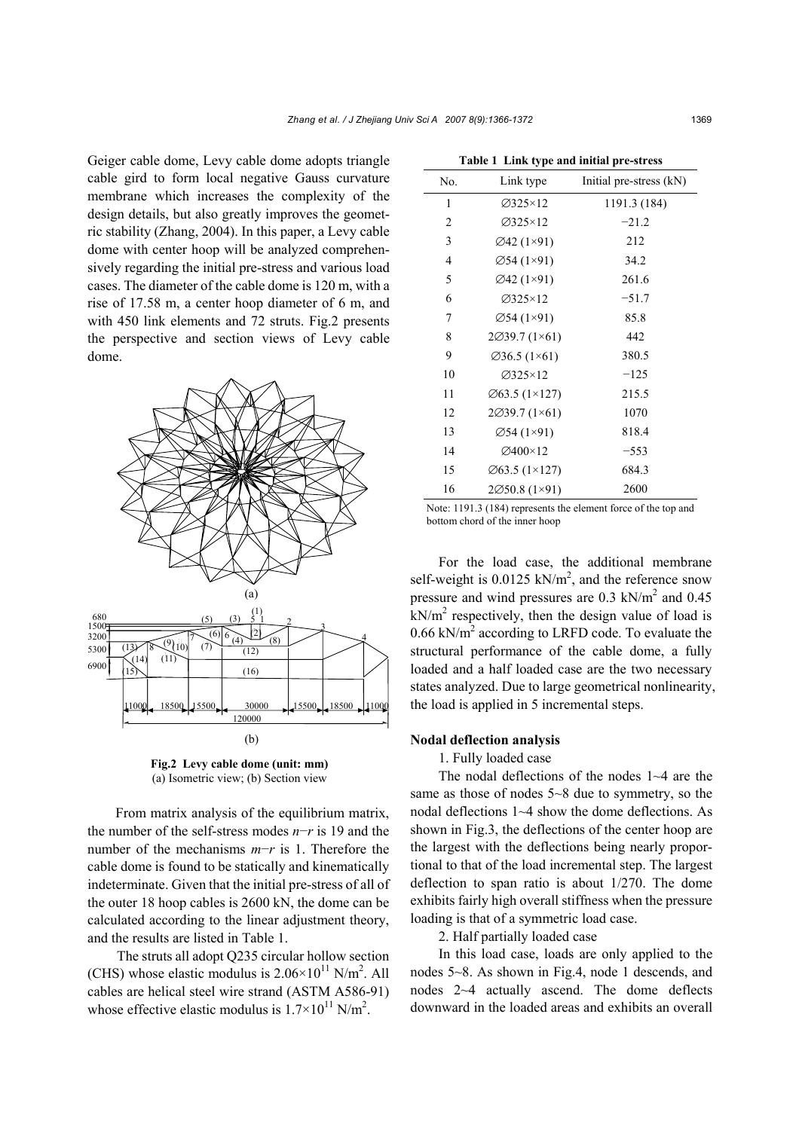Geiger cable dome, Levy cable dome adopts triangle cable gird to form local negative Gauss curvature membrane which increases the complexity of the design details, but also greatly improves the geometric stability (Zhang, 2004). In this paper, a Levy cable dome with center hoop will be analyzed comprehensively regarding the initial pre-stress and various load cases. The diameter of the cable dome is 120 m, with a rise of 17.58 m, a center hoop diameter of 6 m, and with 450 link elements and 72 struts. Fig.2 presents the perspective and section views of Levy cable dome.



**Fig.2 Levy cable dome (unit: mm)**  (a) Isometric view; (b) Section view

From matrix analysis of the equilibrium matrix, the number of the self-stress modes *n*−*r* is 19 and the number of the mechanisms *m*−*r* is 1. Therefore the cable dome is found to be statically and kinematically indeterminate. Given that the initial pre-stress of all of the outer 18 hoop cables is 2600 kN, the dome can be calculated according to the linear adjustment theory, and the results are listed in Table 1.

The struts all adopt Q235 circular hollow section (CHS) whose elastic modulus is  $2.06 \times 10^{11}$  N/m<sup>2</sup>. All cables are helical steel wire strand (ASTM A586-91) whose effective elastic modulus is  $1.7 \times 10^{11}$  N/m<sup>2</sup>.

| No.            | Link type                  | Initial pre-stress (kN) |  |
|----------------|----------------------------|-------------------------|--|
| 1              | $\varnothing$ 325×12       | 1191.3 (184)            |  |
| $\overline{c}$ | $\varnothing$ 325×12       | $-21.2$                 |  |
| 3              | Ø42 (1×91)                 | 212                     |  |
| 4              | $\emptyset$ 54 (1×91)      | 34.2                    |  |
| 5              | Ø42 (1×91)                 | 261.6                   |  |
| 6              | $\varnothing$ 325×12       | $-51.7$                 |  |
| 7              | $\varnothing$ 54 (1×91)    | 85.8                    |  |
| 8              | $2\emptyset$ 39.7 (1×61)   | 442                     |  |
| 9              | $\varnothing$ 36.5 (1×61)  | 380.5                   |  |
| 10             | $\varnothing$ 325×12       | $-125$                  |  |
| 11             | $\varnothing$ 63.5 (1×127) | 215.5                   |  |
| 12             | 2Ø39.7 (1×61)              | 1070                    |  |
| 13             | $\varnothing$ 54 (1×91)    | 818.4                   |  |
| 14             | Ø400×12                    | $-553$                  |  |
| 15             | $\varnothing$ 63.5 (1×127) | 684.3                   |  |
| 16             | 2050.8 (1×91)              | 2600                    |  |

|  |  | Table 1 Link type and initial pre-stress |
|--|--|------------------------------------------|
|--|--|------------------------------------------|

Note: 1191.3 (184) represents the element force of the top and bottom chord of the inner hoop

For the load case, the additional membrane self-weight is  $0.0125$  kN/m<sup>2</sup>, and the reference snow pressure and wind pressures are  $0.3 \text{ kN/m}^2$  and  $0.45$  $kN/m<sup>2</sup>$  respectively, then the design value of load is  $0.66$  kN/m<sup>2</sup> according to LRFD code. To evaluate the structural performance of the cable dome, a fully loaded and a half loaded case are the two necessary states analyzed. Due to large geometrical nonlinearity, the load is applied in 5 incremental steps.

# **Nodal deflection analysis**

1. Fully loaded case

The nodal deflections of the nodes 1~4 are the same as those of nodes 5~8 due to symmetry, so the nodal deflections 1~4 show the dome deflections. As shown in Fig.3, the deflections of the center hoop are the largest with the deflections being nearly proportional to that of the load incremental step. The largest deflection to span ratio is about 1/270. The dome exhibits fairly high overall stiffness when the pressure loading is that of a symmetric load case.

2. Half partially loaded case

In this load case, loads are only applied to the nodes 5~8. As shown in Fig.4, node 1 descends, and nodes 2~4 actually ascend. The dome deflects downward in the loaded areas and exhibits an overall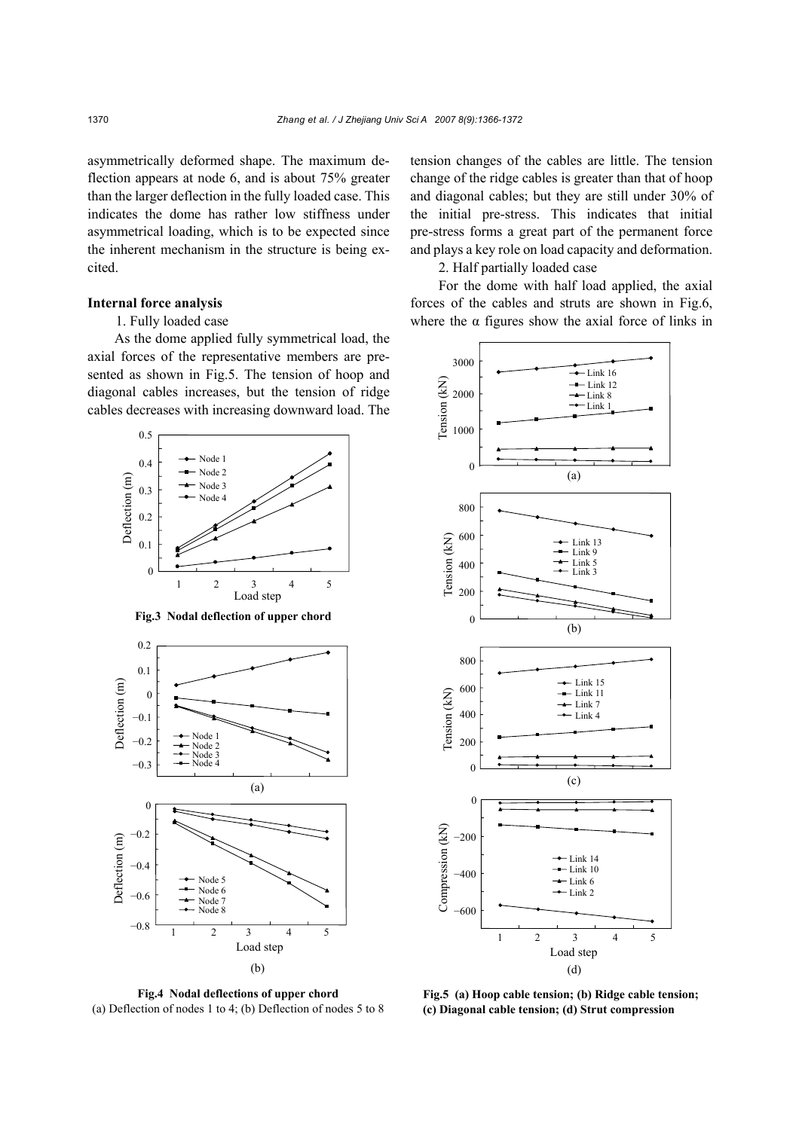asymmetrically deformed shape. The maximum deflection appears at node 6, and is about 75% greater than the larger deflection in the fully loaded case. This indicates the dome has rather low stiffness under asymmetrical loading, which is to be expected since the inherent mechanism in the structure is being excited.

## **Internal force analysis**

## 1. Fully loaded case

As the dome applied fully symmetrical load, the axial forces of the representative members are presented as shown in Fig.5. The tension of hoop and diagonal cables increases, but the tension of ridge cables decreases with increasing downward load. The



**Fig.3 Nodal deflection of upper chord**



**Fig.4 Nodal deflections of upper chord**  (a) Deflection of nodes 1 to 4; (b) Deflection of nodes 5 to 8

tension changes of the cables are little. The tension change of the ridge cables is greater than that of hoop and diagonal cables; but they are still under 30% of the initial pre-stress. This indicates that initial pre-stress forms a great part of the permanent force and plays a key role on load capacity and deformation.

2. Half partially loaded case

For the dome with half load applied, the axial forces of the cables and struts are shown in Fig.6, where the  $\alpha$  figures show the axial force of links in



**Fig.5 (a) Hoop cable tension; (b) Ridge cable tension; (c) Diagonal cable tension; (d) Strut compression**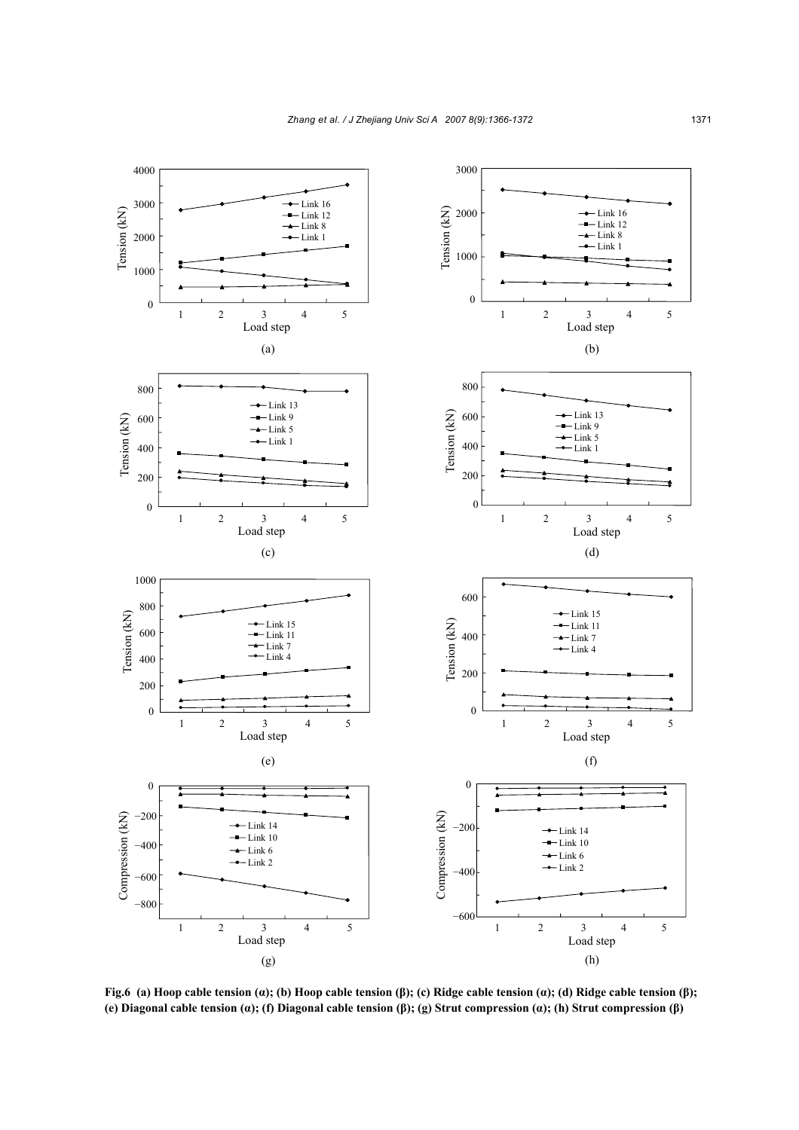

**Fig.6 (a) Hoop cable tension (α); (b) Hoop cable tension (β); (c) Ridge cable tension (α); (d) Ridge cable tension (β); (e) Diagonal cable tension (α); (f) Diagonal cable tension (β); (g) Strut compression (α); (h) Strut compression (β)**